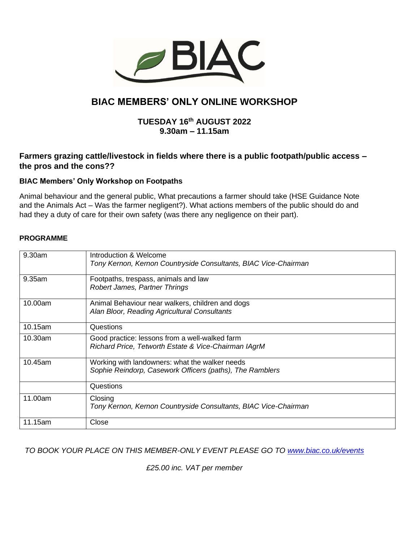

# **BIAC MEMBERS' ONLY ONLINE WORKSHOP**

# **TUESDAY 16th AUGUST 2022 9.30am – 11.15am**

# **Farmers grazing cattle/livestock in fields where there is a public footpath/public access – the pros and the cons??**

## **BIAC Members' Only Workshop on Footpaths**

Animal behaviour and the general public, What precautions a farmer should take (HSE Guidance Note and the Animals Act – Was the farmer negligent?). What actions members of the public should do and had they a duty of care for their own safety (was there any negligence on their part).

#### **PROGRAMME**

| 9.30am  | Introduction & Welcome<br>Tony Kernon, Kernon Countryside Consultants, BIAC Vice-Chairman                  |
|---------|------------------------------------------------------------------------------------------------------------|
| 9.35am  | Footpaths, trespass, animals and law<br><b>Robert James, Partner Thrings</b>                               |
| 10.00am | Animal Behaviour near walkers, children and dogs<br>Alan Bloor, Reading Agricultural Consultants           |
| 10.15am | Questions                                                                                                  |
| 10.30am | Good practice: lessons from a well-walked farm<br>Richard Price, Tetworth Estate & Vice-Chairman IAgrM     |
| 10.45am | Working with landowners: what the walker needs<br>Sophie Reindorp, Casework Officers (paths), The Ramblers |
|         | Questions                                                                                                  |
| 11.00am | Closing<br>Tony Kernon, Kernon Countryside Consultants, BIAC Vice-Chairman                                 |
| 11.15am | Close                                                                                                      |

## *TO BOOK YOUR PLACE ON THIS MEMBER-ONLY EVENT PLEASE GO TO [www.biac.co.uk/events](http://www.biac.co.uk/events)*

*£25.00 inc. VAT per member*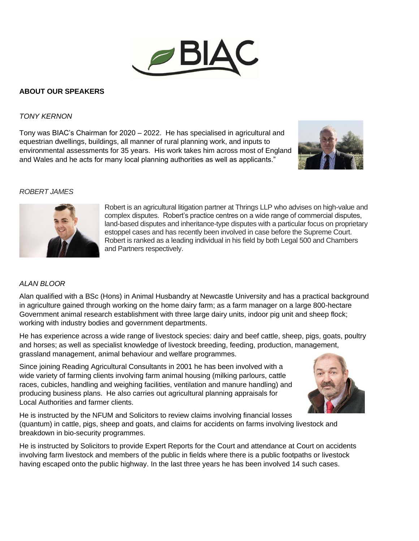

## **ABOUT OUR SPEAKERS**

#### *TONY KERNON*

Tony was BIAC's Chairman for 2020 – 2022. He has specialised in agricultural and equestrian dwellings, buildings, all manner of rural planning work, and inputs to environmental assessments for 35 years. His work takes him across most of England and Wales and he acts for many local planning authorities as well as applicants."



#### *ROBERT JAMES*



Robert is an agricultural litigation partner at Thrings LLP who advises on high-value and complex disputes. Robert's practice centres on a wide range of commercial disputes, land-based disputes and inheritance-type disputes with a particular focus on proprietary estoppel cases and has recently been involved in case before the Supreme Court. Robert is ranked as a leading individual in his field by both Legal 500 and Chambers and Partners respectively.

#### *ALAN BLOOR*

Alan qualified with a BSc (Hons) in Animal Husbandry at Newcastle University and has a practical background in agriculture gained through working on the home dairy farm; as a farm manager on a large 800-hectare Government animal research establishment with three large dairy units, indoor pig unit and sheep flock; working with industry bodies and government departments.

He has experience across a wide range of livestock species: dairy and beef cattle, sheep, pigs, goats, poultry and horses; as well as specialist knowledge of livestock breeding, feeding, production, management, grassland management, animal behaviour and welfare programmes.

Since joining Reading Agricultural Consultants in 2001 he has been involved with a wide variety of farming clients involving farm animal housing (milking parlours, cattle races, cubicles, handling and weighing facilities, ventilation and manure handling) and producing business plans. He also carries out agricultural planning appraisals for Local Authorities and farmer clients.



He is instructed by the NFUM and Solicitors to review claims involving financial losses (quantum) in cattle, pigs, sheep and goats, and claims for accidents on farms involving livestock and breakdown in bio-security programmes.

He is instructed by Solicitors to provide Expert Reports for the Court and attendance at Court on accidents involving farm livestock and members of the public in fields where there is a public footpaths or livestock having escaped onto the public highway. In the last three years he has been involved 14 such cases.